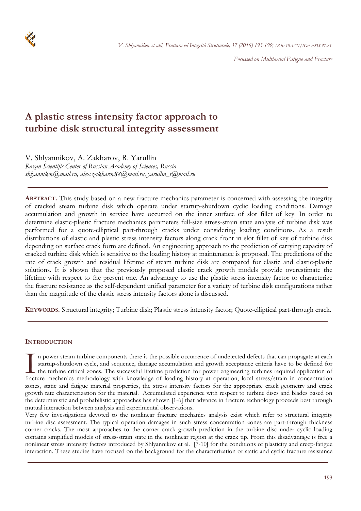

*Focussed on Multiaxial Fatigue and Fracture* 

# **A plastic stress intensity factor approach to turbine disk structural integrity assessment**

V. Shlyannikov, A. Zakharov, R. Yarullin

*Kazan Scientific Center of Russian Academy of Sciences, Russia shlyannikov@mail.ru, alex.zakharov88@mail.ru, yarullin\_r@mail.ru* 

**ABSTRACT.** This study based on a new fracture mechanics parameter is concerned with assessing the integrity of cracked steam turbine disk which operate under startup-shutdown cyclic loading conditions. Damage accumulation and growth in service have occurred on the inner surface of slot fillet of key. In order to determine elastic-plastic fracture mechanics parameters full-size stress-strain state analysis of turbine disk was performed for a quote-elliptical part-through cracks under considering loading conditions. As a result distributions of elastic and plastic stress intensity factors along crack front in slot fillet of key of turbine disk depending on surface crack form are defined. An engineering approach to the prediction of carrying capacity of cracked turbine disk which is sensitive to the loading history at maintenance is proposed. The predictions of the rate of crack growth and residual lifetime of steam turbine disk are compared for elastic and elastic-plastic solutions. It is shown that the previously proposed elastic crack growth models provide overestimate the lifetime with respect to the present one. An advantage to use the plastic stress intensity factor to characterize the fracture resistance as the self-dependent unified parameter for a variety of turbine disk configurations rather than the magnitude of the elastic stress intensity factors alone is discussed.

**KEYWORDS.** Structural integrity; Turbine disk; Plastic stress intensity factor; Quote-elliptical part-through crack.

## **INTRODUCTION**

n power steam turbine components there is the possible occurrence of undetected defects that can propagate at each startup-shutdown cycle, and sequence, damage accumulation and growth acceptance criteria have to be defined for the turbine critical zones. The successful lifetime prediction for power engineering turbines required application of In power steam turbine components there is the possible occurrence of undetected defects that can propagate at each startup-shutdown cycle, and sequence, damage accumulation and growth acceptance criteria have to be define zones, static and fatigue material properties, the stress intensity factors for the appropriate crack geometry and crack growth rate characterization for the material. Accumulated experience with respect to turbine discs and blades based on the deterministic and probabilistic approaches has shown [1-6] that advance in fracture technology proceeds best through mutual interaction between analysis and experimental observations.

Very few investigations devoted to the nonlinear fracture mechanics analysis exist which refer to structural integrity turbine disc assessment. The typical operation damages in such stress concentration zones are part-through thickness corner cracks. The most approaches to the corner crack growth prediction in the turbine disc under cyclic loading contains simplified models of stress-strain state in the nonlinear region at the crack tip. From this disadvantage is free a nonlinear stress intensity factors introduced by Shlyannikov et al. [7-10] for the conditions of plasticity and creep-fatigue interaction. These studies have focused on the background for the characterization of static and cyclic fracture resistance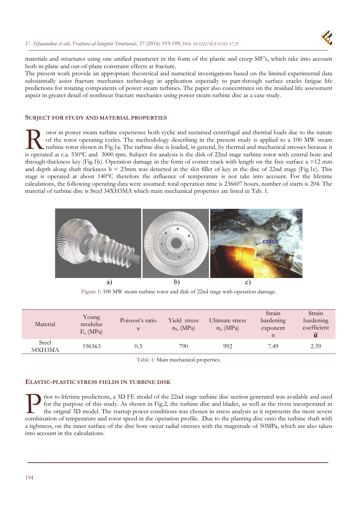

materials and structures using one unified parameter in the form of the plastic and creep SIF's, which take into account both in-plane and out-of-plane constraint effects at fracture.

The present work provide an appropriate theoretical and numerical investigations based on the limited experimental data substantially assist fracture mechanics technology in application especially to part-through surface cracks fatigue life predictions for rotating components of power steam turbines. The paper also concentrates on the residual life assessment aspect in greater detail of nonlinear fracture mechanics using power steam turbine disc as a case study.

#### **SUBJECT FOR STUDY AND MATERIAL PROPERTIES**

otor in power steam turbine experience both cyclic and sustained centrifugal and thermal loads due to the nature of the rotor operating cycles. The methodology describing in the present study is applied to a 100 MW steam turbine rotor shown in Fig.1a. The turbine disc is loaded, in general, by thermal and mechanical stresses because it If other the present turbine experience both cyclic and sustained centrifugal and thermal loads due to the nature of the rotor operating cycles. The methodology describing in the present study is applied to a 100 MW steam through-thickness key (Fig.1b). Operation damage in the form of corner crack with length on the free surface a  $=12$  mm and depth along shaft thickness  $\bar{b} = 23$ mm was detected in the slot fillet of key in the disc of 22nd stage (Fig.1c). This stage is operated at about 140°C therefore the influence of temperature is not take into account. For the lifetime calculations, the following operating data were assumed: total operation time is 236607 hours, number of starts is 204. The material of turbine disc is Steel 34ХН3МА which main mechanical properties are listed in Tab. 1.



Figure 1: 100 MW steam turbine rotor and disk of 22nd stage with operation damage.

| Material         | Young<br>modulus<br>$E$ , (MPa) | Poisson's ratio<br>v | Yield stress<br>$\sigma_0$ , (MPa) | Ultimate stress<br>$\sigma_{\rm f}$ , (MPa) | Strain<br>hardening<br>exponent<br>n | Strain<br>hardening<br>coefficient<br>$\alpha$ |
|------------------|---------------------------------|----------------------|------------------------------------|---------------------------------------------|--------------------------------------|------------------------------------------------|
| Steel<br>34XH3MA | 196363                          | 0.3                  | 790                                | 992                                         | 7.49                                 | 2.39                                           |

Table 1: Main mechanical properties.

### **ELASTIC-PLASTIC STRESS FIELDS IN TURBINE DISK**

rior to lifetime predictions, a 3D FE model of the 22nd stage turbine disc section generated was available and used for the purpose of this study. As shown in Fig.2, the turbine disc and blades, as well as the rivets incorporated in the orignal 3D model. The startup power conditions was chosen in stress analysis as it represents the most severe Tior to lifetime predictions, a 3D FE model of the 22nd stage turbine disc section generated was available and used<br>for the purpose of this study. As shown in Fig.2, the turbine disc and blades, as well as the rivets incor a tightness, on the inner surface of the disc bore occur radial stresses with the magnitude of 50MPa, which are also taken into account in the calculations.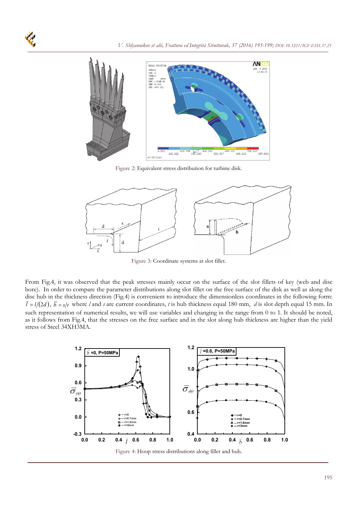

Figure 2: Equivalent stress distribution for turbine disk.



Figure 3: Coordinate systems at slot fillet.

From Fig.4, it was observed that the peak stresses mainly occur on the surface of the slot fillets of key (web and disc bore). In order to compare the parameter distributions along slot fillet on the free surface of the disk as well as along the disc hub in the thickness direction (Fig.4) is convenient to introduce the dimensionless coordinates in the following form:  $\bar{l} = l/(2d)$ ,  $\bar{b} = s/t$  where *l* and *s* are current coordinates, *t* is hub thickness equal 180 mm, *d* is slot depth equal 15 mm. In such representation of numerical results, we will use variables and changing in the range from 0 to 1. It should be noted, as it follows from Fig.4, that the stresses on the free surface and in the slot along hub thickness are higher than the yield stress of Steel 34ХН3МА.

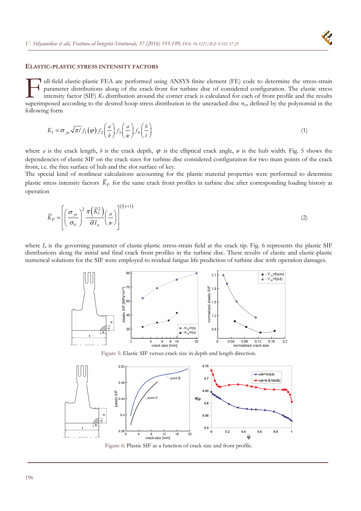#### **ELASTIC-PLASTIC STRESS INTENSITY FACTORS**

ull-field elastic-plastic FEA are performed using ANSYS finite element (FE) code to determine the stress-strain parameter distributions along of the crack-front for turbine disc of considered configuration. The elastic stress intensity factor (SIF) *K1* distribution around the corner crack is calculated for each of front profile and the results ull-field elastic-plastic FEA are performed using ANSYS finite element (FE) code to determine the stress-strain parameter distributions along of the crack-front for turbine disc of considered configuration. The elastic s following form

$$
K_1 = \sigma_{yn} \sqrt{\pi l} f_1(\varphi) f_2\left(\frac{a}{b}\right) f_3\left(\frac{a}{w}\right) f_4\left(\frac{b}{t}\right) \tag{1}
$$

where *a* is the crack length, *b* is the crack depth,  $\varphi$  is the elliptical crack angle, *w* is the hub width. Fig. 5 shows the dependencies of elastic SIF on the crack sizes for turbine disc considered configuration for two main points of the crack front, i.e. the free surface of hub and the slot surface of key.

The special kind of nonlinear calculations accounting for the plastic material properties were performed to determine plastic stress intensity factors  $\bar{K}_p$  for the same crack front profiles in turbine disc after corresponding loading history at operation

$$
\overline{K}_P = \left[ \left( \frac{\sigma_{yn}}{\sigma_0} \right)^2 \frac{\pi \left( \overline{K}_1^2 \right)}{\overline{\alpha} I_n} \left( \frac{a}{w} \right) \right]^{1/(n+1)}
$$
(2)

where  $I_n$  is the governing parameter of elastic-plastic stress-strain field at the crack tip. Fig. 6 represents the plastic SIF distributions along the initial and final crack front profiles in the turbine disc. These results of elastic and elastic-plastic numerical solutions for the SIF were employed to residual fatigue life prediction of turbine disc with operation damages.



Figure 5: Elastic SIF versus crack size in depth and length direction.



Figure 6: Plastic SIF as a function of crack size and front profile.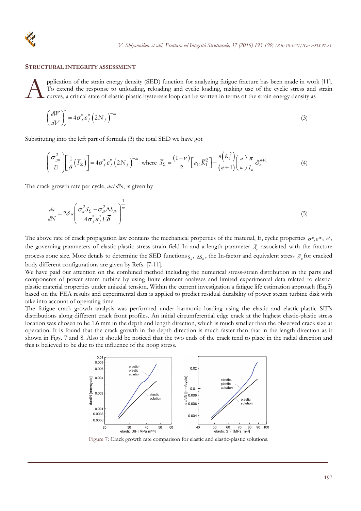#### **STRUCTURAL INTEGRITY ASSESSMENT**

pplication of the strain energy density (SED) function for analyzing fatigue fracture has been made in work [11]. To extend the response to unloading, reloading and cyclic loading, making use of the cyclic stress and strain curves, a critical state of elastic-plastic hysteresis loop can be written in terms of the strain energy density as  $\mathbf{A}^{\tiny \text{pr}}_{\tiny \text{cu}}$ 

$$
\left(\frac{dW}{dV}\right)_c^* = 4\sigma_f^* \varepsilon_f^* \left(2N_f\right)^{-m}
$$
\n(3)

Substituting into the left part of formula (3) the total SED we have got

$$
\left(\frac{\sigma_{yu}^2}{E}\right) \left[\frac{1}{\overline{\delta}}\left(\overline{S}_{\Sigma}\right)\right] = 4\sigma_f^* \varepsilon_f^* \left(2N_f\right)^{-m} \text{ where } \overline{S}_{\Sigma} = \frac{(1+\nu)}{2} \left[a_{11}\overline{K}_1^2\right] + \frac{n\left(\overline{K}_1^2\right)}{(n+1)} \left(\frac{a}{w}\right) \frac{\pi}{I_n} \tilde{\sigma}_{e}^{n+1} \tag{4}
$$

The crack growth rate per cycle, *da/dN*, is given by

$$
\frac{da}{dN} = 2\overline{\delta}a \left( \frac{\sigma_n^2 \overline{S}_{\Sigma} - \sigma_n^2 \Delta \overline{S}_{th}}{4\sigma_f^* \varepsilon_f^* E \overline{\delta}} \right)^{\frac{1}{m}} \tag{5}
$$

The above rate of crack propagation law contains the mechanical properties of the material, E, cyclic properties  $\sigma^*, \varepsilon^*, n$ , the governing parameters of elastic-plastic stress-strain field In and a length parameter  $\bar{\delta}$  associated with the fracture process zone size. More details to determine the SED functions  $\bar{s}_z$ ,  $\Delta \bar{s}_u$ , the In-factor and equivalent stress  $\tilde{\sigma}_e$  for cracked body different configurations are given by Refs. [7-11].

We have paid our attention on the combined method including the numerical stress-strain distribution in the parts and components of power steam turbine by using finite element analyses and limited experimental data related to elasticplastic material properties under uniaxial tension. Within the current investigation a fatigue life estimation approach (Eq.5) based on the FEA results and experimental data is applied to predict residual durability of power steam turbine disk with take into account of operating time.

The fatigue crack growth analysis was performed under harmonic loading using the elastic and elastic-plastic SIF's distributions along different crack front profiles. An initial circumferential edge crack at the highest elastic-plastic stress location was chosen to be 1.6 mm in the depth and length direction, which is much smaller than the observed crack size at operation. It is found that the crack growth in the depth direction is much faster than that in the length direction as it shown in Figs. 7 and 8. Also it should be noticed that the two ends of the crack tend to place in the radial direction and this is believed to be due to the influence of the hoop stress.



Figure 7: Crack growth rate comparison for elastic and elastic-plastic solutions.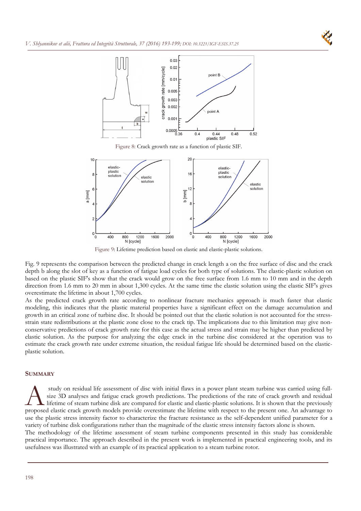



Figure 8: Crack growth rate as a function of plastic SIF.



Figure 9: Lifetime prediction based on elastic and elastic-plastic solutions.

Fig. 9 represents the comparison between the predicted change in crack length a on the free surface of disc and the crack depth b along the slot of key as a function of fatigue load cycles for both type of solutions. The elastic-plastic solution on based on the plastic SIF's show that the crack would grow on the free surface from 1.6 mm to 10 mm and in the depth direction from 1.6 mm to 20 mm in about 1,300 cycles. At the same time the elastic solution using the elastic SIF's gives overestimate the lifetime in about 1,700 cycles.

As the predicted crack growth rate according to nonlinear fracture mechanics approach is much faster that elastic modeling, this indicates that the plastic material properties have a significant effect on the damage accumulation and growth in an critical zone of turbine disc. It should be pointed out that the elastic solution is not accounted for the stressstrain state redistributions at the plastic zone close to the crack tip. The implications due to this limitation may give nonconservative predictions of crack growth rate for this case as the actual stress and strain may be higher than predicted by elastic solution. As the purpose for analyzing the edge crack in the turbine disc considered at the operation was to estimate the crack growth rate under extreme situation, the residual fatigue life should be determined based on the elasticplastic solution.

#### **SUMMARY**

 study on residual life assessment of disc with initial flaws in a power plant steam turbine was carried using fullsize 3D analyses and fatigue crack growth predictions. The predictions of the rate of crack growth and residual lifetime of steam turbine disk are compared for elastic and elastic-plastic solutions. It is shown that the previously study on residual life assessment of disc with initial flaws in a power plant steam turbine was carried using full-<br>size 3D analyses and fatigue crack growth predictions. The predictions of the rate of crack growth and res use the plastic stress intensity factor to characterize the fracture resistance as the self-dependent unified parameter for a variety of turbine disk configurations rather than the magnitude of the elastic stress intensity factors alone is shown. The methodology of the lifetime assessment of steam turbine components presented in this study has considerable practical importance. The approach described in the present work is implemented in practical engineering tools, and its

usefulness was illustrated with an example of its practical application to a steam turbine rotor.

198